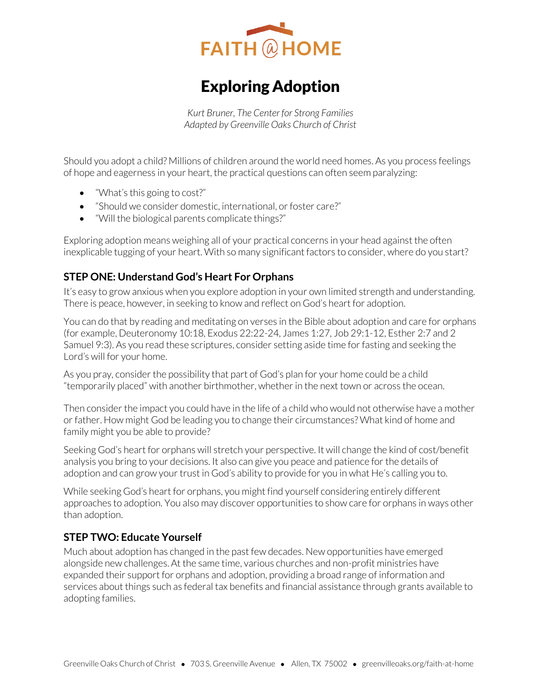

# Exploring Adoption

*Kurt Bruner, The Center for Strong Families Adapted by Greenville Oaks Church of Christ* 

Should you adopt a child? Millions of children around the world need homes. As you process feelings of hope and eagerness in your heart, the practical questions can often seem paralyzing:

- "What's this going to cost?"
- "Should we consider domestic, international, or foster care?"
- "Will the biological parents complicate things?"

Exploring adoption means weighing all of your practical concerns in your head against the often inexplicable tugging of your heart. With so many significant factors to consider, where do you start?

## **STEP ONE: Understand God's Heart For Orphans**

It's easy to grow anxious when you explore adoption in your own limited strength and understanding. There is peace, however, in seeking to know and reflect on God's heart for adoption.

You can do that by reading and meditating on verses in the Bible about adoption and care for orphans (for example, Deuteronomy 10:18, Exodus 22:22-24, James 1:27, Job 29:1-12, Esther 2:7 and 2 Samuel 9:3). As you read these scriptures, consider setting aside time for fasting and seeking the Lord's will for your home.

As you pray, consider the possibility that part of God's plan for your home could be a child "temporarily placed" with another birthmother, whether in the next town or across the ocean.

Then consider the impact you could have in the life of a child who would not otherwise have a mother or father. How might God be leading you to change their circumstances? What kind of home and family might you be able to provide?

Seeking God's heart for orphans will stretch your perspective. It will change the kind of cost/benefit analysis you bring to your decisions. It also can give you peace and patience for the details of adoption and can grow your trust in God's ability to provide for you in what He's calling you to.

While seeking God's heart for orphans, you might find yourself considering entirely different approaches to adoption. You also may discover opportunities to show care for orphans in ways other than adoption.

# **STEP TWO: Educate Yourself**

Much about adoption has changed in the past few decades. New opportunities have emerged alongside new challenges. At the same time, various churches and non-profit ministries have expanded their support for orphans and adoption, providing a broad range of information and services about things such as federal tax benefits and financial assistance through grants available to adopting families.